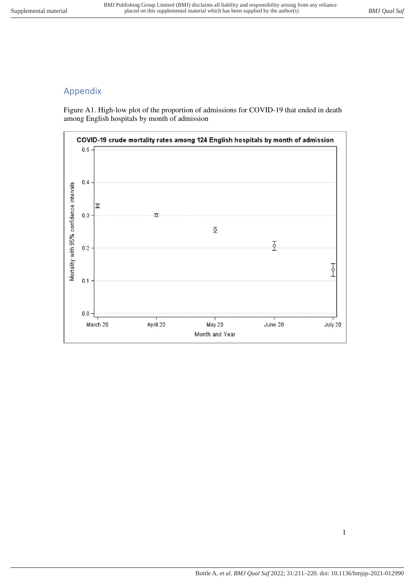## Appendix

Figure A1. High-low plot of the proportion of admissions for COVID-19 that ended in death among English hospitals by month of admission

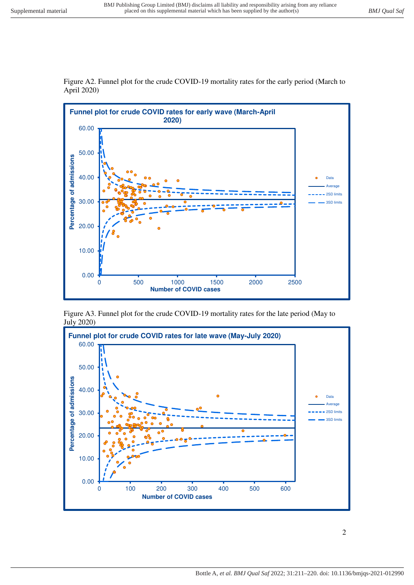

Figure A2. Funnel plot for the crude COVID-19 mortality rates for the early period (March to April 2020)

Figure A3. Funnel plot for the crude COVID-19 mortality rates for the late period (May to July 2020)

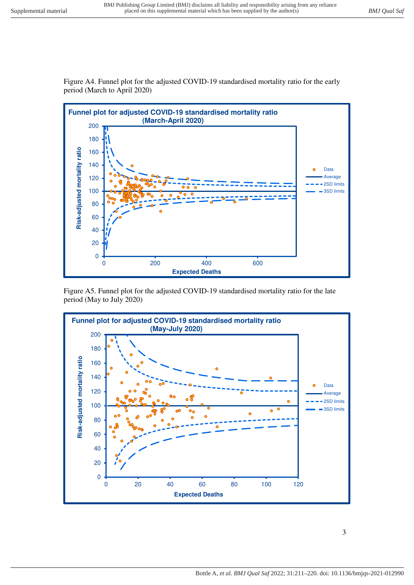

Figure A4. Funnel plot for the adjusted COVID-19 standardised mortality ratio for the early period (March to April 2020)

Figure A5. Funnel plot for the adjusted COVID-19 standardised mortality ratio for the late period (May to July 2020)

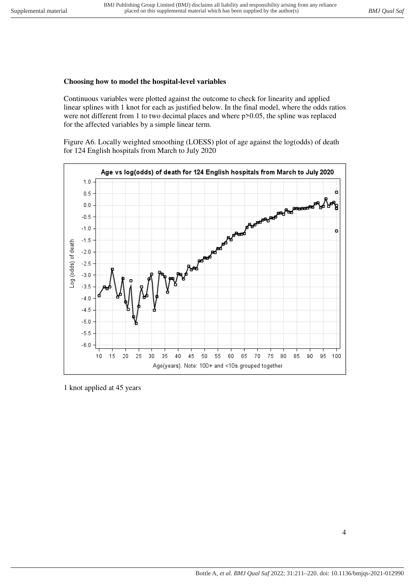## **Choosing how to model the hospital-level variables**

Continuous variables were plotted against the outcome to check for linearity and applied linear splines with 1 knot for each as justified below. In the final model, where the odds ratios were not different from 1 to two decimal places and where  $p>0.05$ , the spline was replaced for the affected variables by a simple linear term.

Figure A6. Locally weighted smoothing (LOESS) plot of age against the log(odds) of death for 124 English hospitals from March to July 2020



1 knot applied at 45 years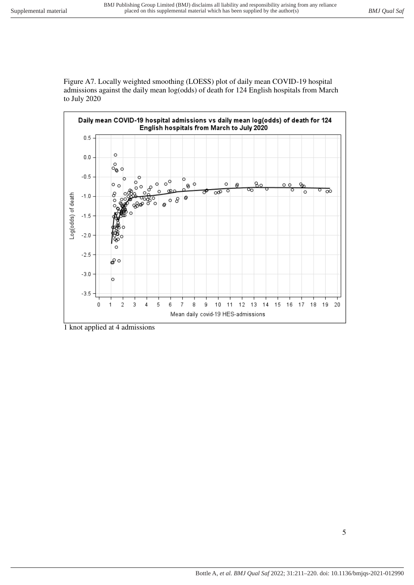Figure A7. Locally weighted smoothing (LOESS) plot of daily mean COVID-19 hospital admissions against the daily mean log(odds) of death for 124 English hospitals from March to July 2020



1 knot applied at 4 admissions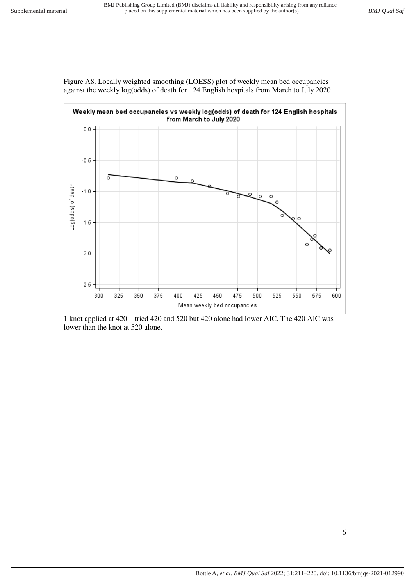



1 knot applied at 420 – tried 420 and 520 but 420 alone had lower AIC. The 420 AIC was lower than the knot at 520 alone.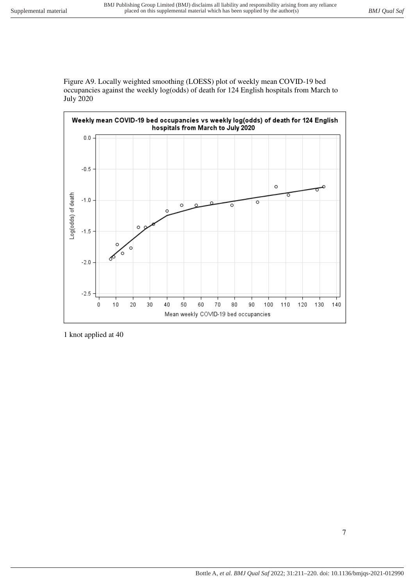Figure A9. Locally weighted smoothing (LOESS) plot of weekly mean COVID-19 bed occupancies against the weekly log(odds) of death for 124 English hospitals from March to July 2020



1 knot applied at 40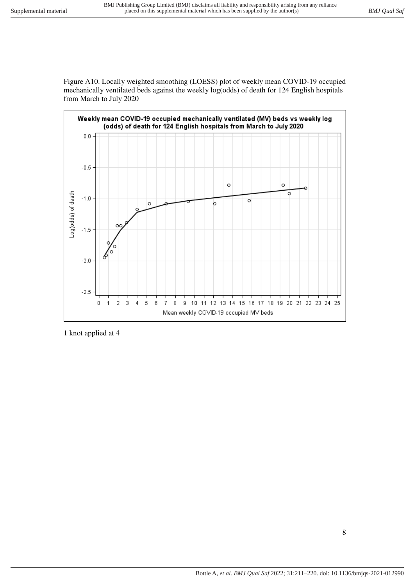Figure A10. Locally weighted smoothing (LOESS) plot of weekly mean COVID-19 occupied mechanically ventilated beds against the weekly log(odds) of death for 124 English hospitals from March to July 2020



1 knot applied at 4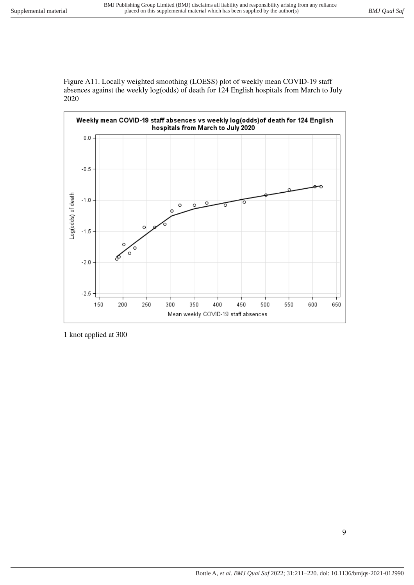Figure A11. Locally weighted smoothing (LOESS) plot of weekly mean COVID-19 staff absences against the weekly log(odds) of death for 124 English hospitals from March to July 2020



1 knot applied at 300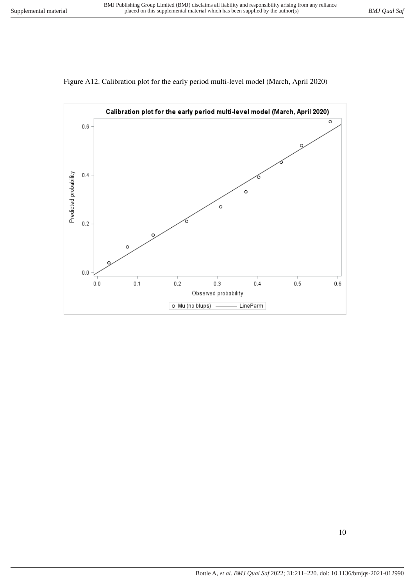

Figure A12. Calibration plot for the early period multi-level model (March, April 2020)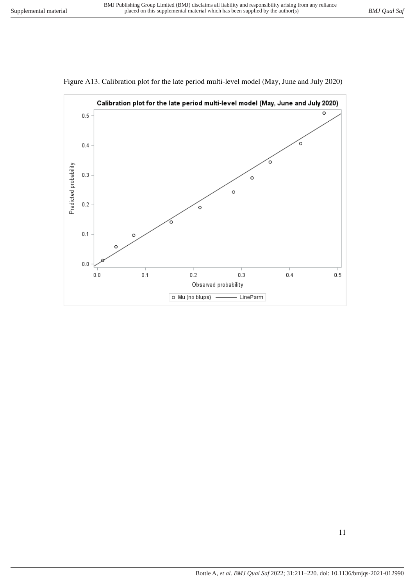

Figure A13. Calibration plot for the late period multi-level model (May, June and July 2020)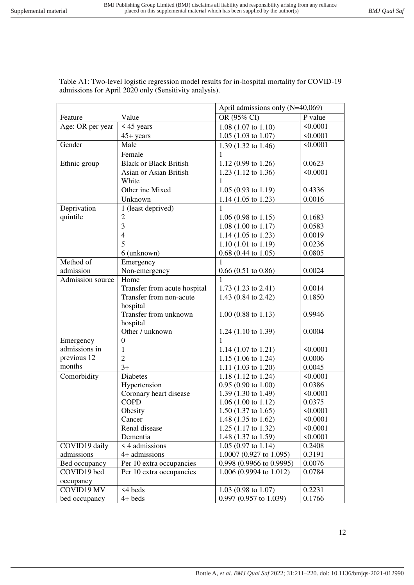April admissions only (N=40,069)

| Age: OR per year | $\leq$ 45 years               | $1.08$ (1.07 to 1.10)          | < 0.0001 |
|------------------|-------------------------------|--------------------------------|----------|
|                  | $45+$ years                   | $1.05$ (1.03 to 1.07)          | < 0.0001 |
| Gender           | Male                          | 1.39 (1.32 to 1.46)            | < 0.0001 |
|                  | Female                        | 1                              |          |
| Ethnic group     | <b>Black or Black British</b> | 1.12 (0.99 to 1.26)            | 0.0623   |
|                  | Asian or Asian British        | 1.23 (1.12 to 1.36)            | < 0.0001 |
|                  | White                         | 1                              |          |
|                  | Other inc Mixed               | $1.05(0.93 \text{ to } 1.19)$  | 0.4336   |
|                  | Unknown                       | 1.14 $(1.05 \text{ to } 1.23)$ | 0.0016   |
| Deprivation      | 1 (least deprived)            | 1                              |          |
| quintile         | $\overline{c}$                | $1.06(0.98 \text{ to } 1.15)$  | 0.1683   |
|                  | 3                             | $1.08(1.00 \text{ to } 1.17)$  | 0.0583   |
|                  | $\overline{4}$                | 1.14 (1.05 to 1.23)            | 0.0019   |
|                  | 5                             | $1.10(1.01 \text{ to } 1.19)$  | 0.0236   |
|                  | 6 (unknown)                   | $0.68$ (0.44 to 1.05)          | 0.0805   |
| Method of        | Emergency                     |                                |          |
| admission        | Non-emergency                 | $0.66(0.51 \text{ to } 0.86)$  | 0.0024   |
| Admission source | Home                          |                                |          |
|                  | Transfer from acute hospital  | $1.73$ (1.23 to 2.41)          | 0.0014   |
|                  | Transfer from non-acute       | 1.43 (0.84 to 2.42)            | 0.1850   |
|                  | hospital                      |                                |          |
|                  | Transfer from unknown         | $1.00$ (0.88 to 1.13)          | 0.9946   |
|                  | hospital                      |                                |          |
|                  | Other / unknown               | 1.24 $(1.10 \text{ to } 1.39)$ | 0.0004   |
| Emergency        | $\boldsymbol{0}$              | 1                              |          |
| admissions in    | 1                             | 1.14 $(1.07 \text{ to } 1.21)$ | < 0.0001 |
| previous 12      | $\overline{2}$                | 1.15 (1.06 to 1.24)            | 0.0006   |
| months           | $3+$                          | 1.11 $(1.03 \text{ to } 1.20)$ | 0.0045   |
| Comorbidity      | Diabetes                      | 1.18 $(1.12 \text{ to } 1.24)$ | < 0.0001 |
|                  | Hypertension                  | $0.95(0.90 \text{ to } 1.00)$  | 0.0386   |
|                  | Coronary heart disease        | 1.39 (1.30 to 1.49)            | < 0.0001 |
|                  | <b>COPD</b>                   | $1.06(1.00 \text{ to } 1.12)$  | 0.0375   |
|                  | Obesity                       | $1.50$ (1.37 to 1.65)          | < 0.0001 |
|                  | Cancer                        | 1.48 (1.35 to 1.62)            | < 0.0001 |
|                  | Renal disease                 | 1.25 $(1.17 \text{ to } 1.32)$ | < 0.0001 |
|                  | Dementia                      | 1.48 (1.37 to 1.59)            | < 0.0001 |
| COVID19 daily    | < 4 admissions                | $1.05(0.97 \text{ to } 1.14)$  | 0.2408   |
| admissions       | 4+ admissions                 | 1.0007 (0.927 to 1.095)        | 0.3191   |
| Bed occupancy    | Per 10 extra occupancies      | $0.998$ (0.9966 to 0.9995)     | 0.0076   |
| COVID19 bed      | Per 10 extra occupancies      | 1.006 (0.9994 to 1.012)        | 0.0784   |
| occupancy        |                               |                                |          |
| COVID19 MV       | <4 beds                       | $1.03$ (0.98 to 1.07)          | 0.2231   |
| bed occupancy    | 4+ beds                       | 0.997 (0.957 to 1.039)         | 0.1766   |

Table A1: Two-level logistic regression model results for in-hospital mortality for COVID-19 admissions for April 2020 only (Sensitivity analysis).

Feature Value Value OR (95% CI) P value